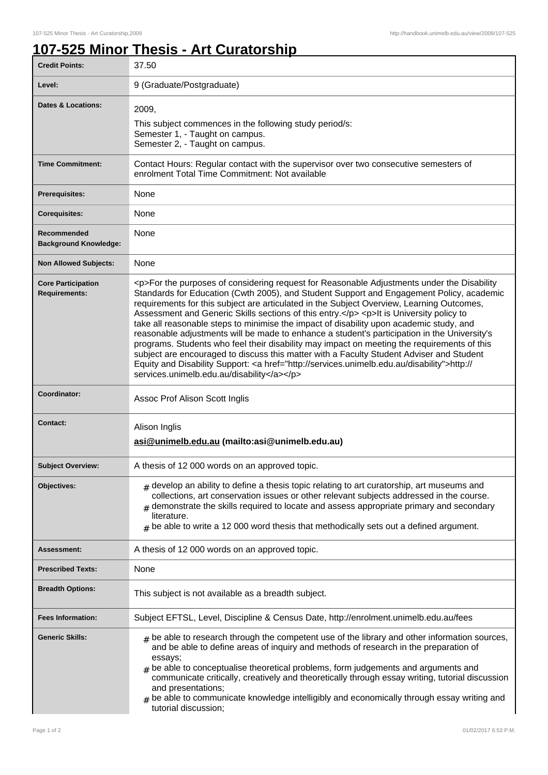## **107-525 Minor Thesis - Art Curatorship**

| <b>Credit Points:</b>                             | 37.50                                                                                                                                                                                                                                                                                                                                                                                                                                                                                                                                                                                                                                                                                                                                                                                                                                                                                                                        |
|---------------------------------------------------|------------------------------------------------------------------------------------------------------------------------------------------------------------------------------------------------------------------------------------------------------------------------------------------------------------------------------------------------------------------------------------------------------------------------------------------------------------------------------------------------------------------------------------------------------------------------------------------------------------------------------------------------------------------------------------------------------------------------------------------------------------------------------------------------------------------------------------------------------------------------------------------------------------------------------|
| Level:                                            | 9 (Graduate/Postgraduate)                                                                                                                                                                                                                                                                                                                                                                                                                                                                                                                                                                                                                                                                                                                                                                                                                                                                                                    |
| <b>Dates &amp; Locations:</b>                     | 2009,<br>This subject commences in the following study period/s:<br>Semester 1, - Taught on campus.<br>Semester 2, - Taught on campus.                                                                                                                                                                                                                                                                                                                                                                                                                                                                                                                                                                                                                                                                                                                                                                                       |
| <b>Time Commitment:</b>                           | Contact Hours: Regular contact with the supervisor over two consecutive semesters of<br>enrolment Total Time Commitment: Not available                                                                                                                                                                                                                                                                                                                                                                                                                                                                                                                                                                                                                                                                                                                                                                                       |
| <b>Prerequisites:</b>                             | None                                                                                                                                                                                                                                                                                                                                                                                                                                                                                                                                                                                                                                                                                                                                                                                                                                                                                                                         |
| <b>Corequisites:</b>                              | None                                                                                                                                                                                                                                                                                                                                                                                                                                                                                                                                                                                                                                                                                                                                                                                                                                                                                                                         |
| Recommended<br><b>Background Knowledge:</b>       | None                                                                                                                                                                                                                                                                                                                                                                                                                                                                                                                                                                                                                                                                                                                                                                                                                                                                                                                         |
| <b>Non Allowed Subjects:</b>                      | None                                                                                                                                                                                                                                                                                                                                                                                                                                                                                                                                                                                                                                                                                                                                                                                                                                                                                                                         |
| <b>Core Participation</b><br><b>Requirements:</b> | <p>For the purposes of considering request for Reasonable Adjustments under the Disability<br/>Standards for Education (Cwth 2005), and Student Support and Engagement Policy, academic<br/>requirements for this subject are articulated in the Subject Overview, Learning Outcomes,<br/>Assessment and Generic Skills sections of this entry.</p> <p>lt is University policy to<br/>take all reasonable steps to minimise the impact of disability upon academic study, and<br/>reasonable adjustments will be made to enhance a student's participation in the University's<br/>programs. Students who feel their disability may impact on meeting the requirements of this<br/>subject are encouraged to discuss this matter with a Faculty Student Adviser and Student<br/>Equity and Disability Support: &lt; a href="http://services.unimelb.edu.au/disability"&gt;http://<br/>services.unimelb.edu.au/disability</p> |
| Coordinator:                                      | Assoc Prof Alison Scott Inglis                                                                                                                                                                                                                                                                                                                                                                                                                                                                                                                                                                                                                                                                                                                                                                                                                                                                                               |
| <b>Contact:</b>                                   | Alison Inglis<br>asi@unimelb.edu.au (mailto:asi@unimelb.edu.au)                                                                                                                                                                                                                                                                                                                                                                                                                                                                                                                                                                                                                                                                                                                                                                                                                                                              |
| <b>Subject Overview:</b>                          | A thesis of 12 000 words on an approved topic.                                                                                                                                                                                                                                                                                                                                                                                                                                                                                                                                                                                                                                                                                                                                                                                                                                                                               |
| Objectives:                                       | $_{\rm H}$ develop an ability to define a thesis topic relating to art curatorship, art museums and<br>collections, art conservation issues or other relevant subjects addressed in the course.<br>demonstrate the skills required to locate and assess appropriate primary and secondary<br>literature.<br>$#$ be able to write a 12 000 word thesis that methodically sets out a defined argument.                                                                                                                                                                                                                                                                                                                                                                                                                                                                                                                         |
| Assessment:                                       | A thesis of 12 000 words on an approved topic.                                                                                                                                                                                                                                                                                                                                                                                                                                                                                                                                                                                                                                                                                                                                                                                                                                                                               |
| <b>Prescribed Texts:</b>                          | None                                                                                                                                                                                                                                                                                                                                                                                                                                                                                                                                                                                                                                                                                                                                                                                                                                                                                                                         |
| <b>Breadth Options:</b>                           | This subject is not available as a breadth subject.                                                                                                                                                                                                                                                                                                                                                                                                                                                                                                                                                                                                                                                                                                                                                                                                                                                                          |
| <b>Fees Information:</b>                          | Subject EFTSL, Level, Discipline & Census Date, http://enrolment.unimelb.edu.au/fees                                                                                                                                                                                                                                                                                                                                                                                                                                                                                                                                                                                                                                                                                                                                                                                                                                         |
| <b>Generic Skills:</b>                            | $_{\#}$ be able to research through the competent use of the library and other information sources,                                                                                                                                                                                                                                                                                                                                                                                                                                                                                                                                                                                                                                                                                                                                                                                                                          |